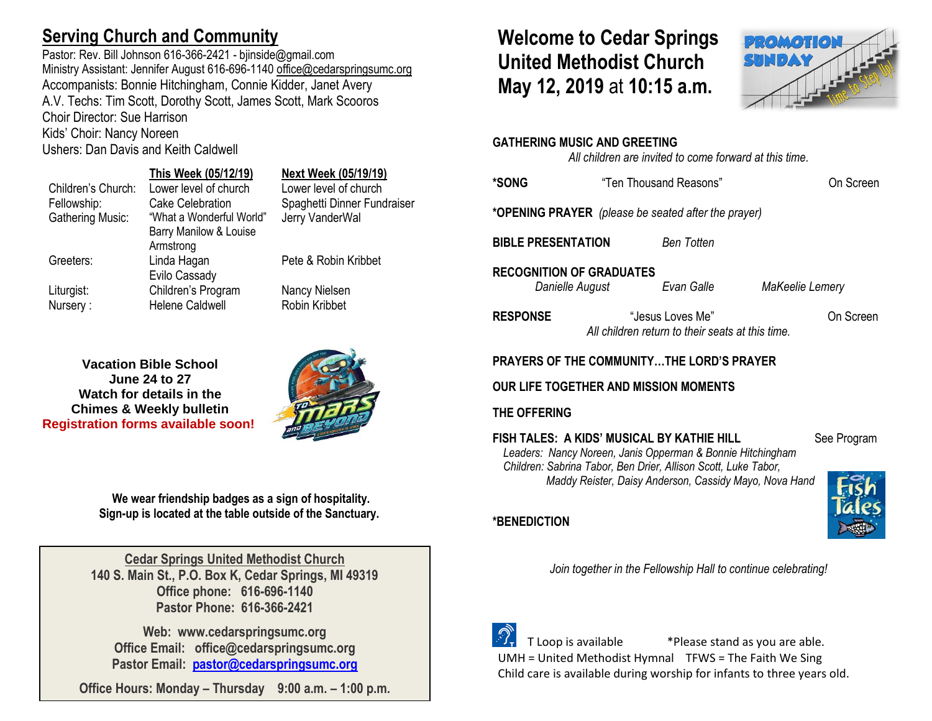# **Serving Church and Community**

Pastor: Rev. Bill Johnson 616-366-2421 - bjinside@gmail.com Ministry Assistant: Jennifer August 616-696-1140 [office@cedarspringsumc.org](mailto:office@cedarspringsumc.org) Accompanists: Bonnie Hitchingham, Connie Kidder, Janet Avery A.V. Techs: Tim Scott, Dorothy Scott, James Scott, Mark Scooros Choir Director: Sue Harrison Kids' Choir: Nancy Noreen

Ushers: Dan Davis and Keith Caldwell

## **This Week (05/12/19) Next Week (05/19/19)**

Children's Church: Lower level of church Lower level of church Fellowship: Cake Celebration Spaghetti Dinner Fundraiser Gathering Music: "What a Wonderful World" Barry Manilow & Louise Armstrong Greeters: Linda Hagan Evilo Cassady Liturgist: Children's Program Nancy Nielsen Nursery : Helene Caldwell Robin Kribbet

Jerry VanderWal

Pete & Robin Kribbet

**Vacation Bible School June 24 to 27 Watch for details in the Chimes & Weekly bulletin Registration forms available soon!**



**We wear friendship badges as a sign of hospitality. Sign-up is located at the table outside of the Sanctuary.**

**Cedar Springs United Methodist Church 140 S. Main St., P.O. Box K, Cedar Springs, MI 49319 Office phone: 616-696-1140 Pastor Phone: 616-366-2421**

**Web: www.cedarspringsumc.org Office Email: office@cedarspringsumc.org Pastor Email: [pastor@cedarspringsumc.org](mailto:pastor@cedarspringsumc.org)**

**Office Hours: Monday – Thursday 9:00 a.m. – 1:00 p.m.**

# **Welcome to Cedar Springs United Methodist Church May 12, 2019** at **10:15 a.m.**



### **GATHERING MUSIC AND GREETING**

*All children are invited to come forward at this time.*

| *SONG                                                                                                                                                                                             | "Ten Thousand Reasons"                                 |                                                                      |                 | On Screen |  |
|---------------------------------------------------------------------------------------------------------------------------------------------------------------------------------------------------|--------------------------------------------------------|----------------------------------------------------------------------|-----------------|-----------|--|
| * <b>OPENING PRAYER</b> (please be seated after the prayer)                                                                                                                                       |                                                        |                                                                      |                 |           |  |
| <b>BIBLE PRESENTATION</b>                                                                                                                                                                         |                                                        | <b>Ben Totten</b>                                                    |                 |           |  |
| <b>RECOGNITION OF GRADUATES</b><br>Danielle August                                                                                                                                                |                                                        | Evan Galle                                                           | MaKeelie Lemery |           |  |
| <b>RESPONSE</b>                                                                                                                                                                                   |                                                        | "Jesus Loves Me"<br>All children return to their seats at this time. |                 | On Screen |  |
| PRAYERS OF THE COMMUNITYTHE LORD'S PRAYER                                                                                                                                                         |                                                        |                                                                      |                 |           |  |
| OUR LIFE TOGETHER AND MISSION MOMENTS                                                                                                                                                             |                                                        |                                                                      |                 |           |  |
| THE OFFERING                                                                                                                                                                                      |                                                        |                                                                      |                 |           |  |
| FISH TALES: A KIDS' MUSICAL BY KATHIE HILL<br>Leaders: Nancy Noreen, Janis Opperman & Bonnie Hitchingham<br>Children: Sabrina Tabor, Ben Drier, Allison Scott, Luke Tabor,<br><b>*BENEDICTION</b> | Maddy Reister, Daisy Anderson, Cassidy Mayo, Nova Hand | See Program                                                          |                 |           |  |
|                                                                                                                                                                                                   |                                                        | Join together in the Fellowship Hall to continue celebrating!        |                 |           |  |



 T Loop is available \*Please stand as you are able. UMH = United Methodist Hymnal TFWS = The Faith We Sing Child care is available during worship for infants to three years old.